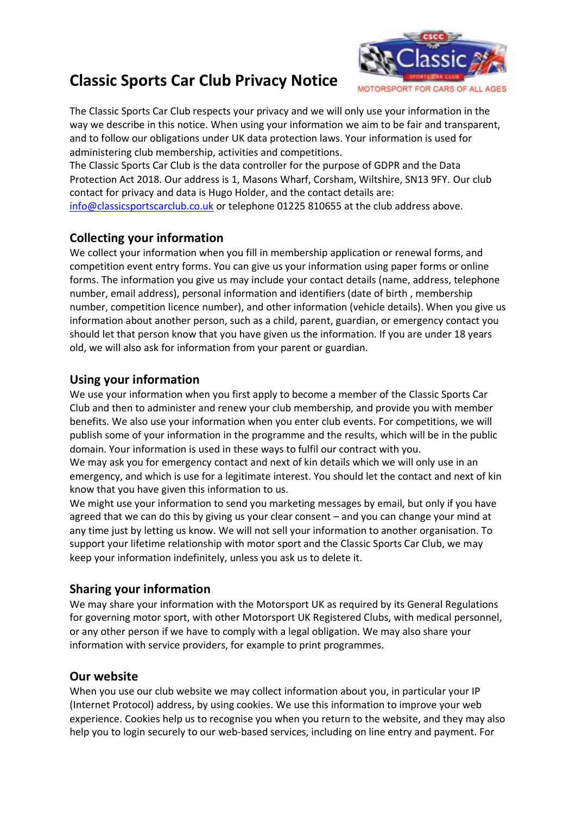# **Classic Sports Car Club Privacy Notice**



The Classic Sports Car Club respects your privacy and we will only use your information in the way we describe in this notice. When using your information we aim to be fair and transparent, and to follow our obligations under UK data protection laws. Your information is used for administering club membership, activities and competitions.

The Classic Sports Car Club is the data controller for the purpose of GDPR and the Data Protection Act 2018. Our address is 1, Masons Wharf, Corsham, Wiltshire, SN13 9FY. Our club contact for privacy and data is Hugo Holder, and the contact details are: [info@classicsportscarclub.co.uk](mailto:info@classicsportscarclub.co.uk) or telephone 01225 810655 at the club address above.

## **Collecting your information**

We collect your information when you fill in membership application or renewal forms, and competition event entry forms. You can give us your information using paper forms or online forms. The information you give us may include your contact details (name, address, telephone number, email address), personal information and identifiers (date of birth , membership number, competition licence number), and other information (vehicle details). When you give us information about another person, such as a child, parent, guardian, or emergency contact you should let that person know that you have given us the information. If you are under 18 years old, we will also ask for information from your parent or guardian.

## **Using your information**

We use your information when you first apply to become a member of the Classic Sports Car Club and then to administer and renew your club membership, and provide you with member benefits. We also use your information when you enter club events. For competitions, we will publish some of your information in the programme and the results, which will be in the public domain. Your information is used in these ways to fulfil our contract with you.

We may ask you for emergency contact and next of kin details which we will only use in an emergency, and which is use for a legitimate interest. You should let the contact and next of kin know that you have given this information to us.

We might use your information to send you marketing messages by email, but only if you have agreed that we can do this by giving us your clear consent – and you can change your mind at any time just by letting us know. We will not sell your information to another organisation. To support your lifetime relationship with motor sport and the Classic Sports Car Club, we may keep your information indefinitely, unless you ask us to delete it.

#### **Sharing your information**

We may share your information with the Motorsport UK as required by its General Regulations for governing motor sport, with other Motorsport UK Registered Clubs, with medical personnel, or any other person if we have to comply with a legal obligation. We may also share your information with service providers, for example to print programmes.

#### **Our website**

When you use our club website we may collect information about you, in particular your IP (Internet Protocol) address, by using cookies. We use this information to improve your web experience. Cookies help us to recognise you when you return to the website, and they may also help you to login securely to our web-based services, including on line entry and payment. For